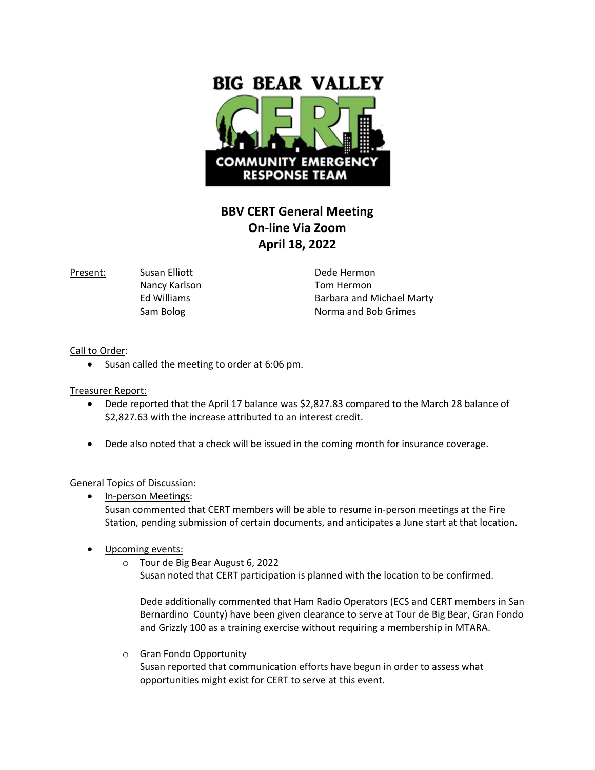

## **BBV CERT General Meeting On-line Via Zoom April 18, 2022**

Present: Susan Elliott **Dede Hermon** 

Nancy Karlson **Nancy Karlson** Tom Hermon

Ed Williams **Barbara and Michael Marty** Sam Bolog Norma and Bob Grimes

Call to Order:

• Susan called the meeting to order at 6:06 pm.

Treasurer Report:

- Dede reported that the April 17 balance was \$2,827.83 compared to the March 28 balance of \$2,827.63 with the increase attributed to an interest credit.
- Dede also noted that a check will be issued in the coming month for insurance coverage.

## General Topics of Discussion:

- In-person Meetings: Susan commented that CERT members will be able to resume in-person meetings at the Fire Station, pending submission of certain documents, and anticipates a June start at that location.
- Upcoming events:
	- o Tour de Big Bear August 6, 2022 Susan noted that CERT participation is planned with the location to be confirmed.

Dede additionally commented that Ham Radio Operators (ECS and CERT members in San Bernardino County) have been given clearance to serve at Tour de Big Bear, Gran Fondo and Grizzly 100 as a training exercise without requiring a membership in MTARA.

o Gran Fondo Opportunity Susan reported that communication efforts have begun in order to assess what opportunities might exist for CERT to serve at this event.